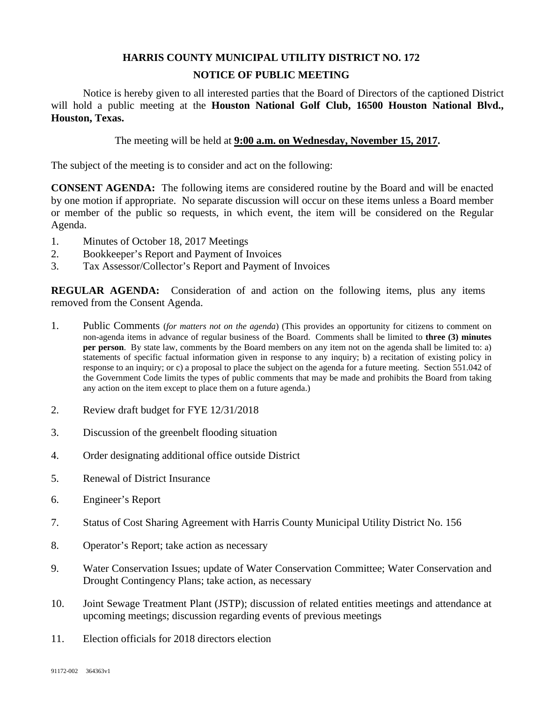## **HARRIS COUNTY MUNICIPAL UTILITY DISTRICT NO. 172 NOTICE OF PUBLIC MEETING**

Notice is hereby given to all interested parties that the Board of Directors of the captioned District will hold a public meeting at the **Houston National Golf Club, 16500 Houston National Blvd., Houston, Texas.** 

The meeting will be held at **9:00 a.m. on Wednesday, November 15, 2017.**

The subject of the meeting is to consider and act on the following:

**CONSENT AGENDA:** The following items are considered routine by the Board and will be enacted by one motion if appropriate. No separate discussion will occur on these items unless a Board member or member of the public so requests, in which event, the item will be considered on the Regular Agenda.

- 1. Minutes of October 18, 2017 Meetings
- 2. Bookkeeper's Report and Payment of Invoices
- 3. Tax Assessor/Collector's Report and Payment of Invoices

**REGULAR AGENDA:** Consideration of and action on the following items, plus any items removed from the Consent Agenda.

- 1. Public Comments (*for matters not on the agenda*) (This provides an opportunity for citizens to comment on non-agenda items in advance of regular business of the Board. Comments shall be limited to **three (3) minutes per person**. By state law, comments by the Board members on any item not on the agenda shall be limited to: a) statements of specific factual information given in response to any inquiry; b) a recitation of existing policy in response to an inquiry; or c) a proposal to place the subject on the agenda for a future meeting. Section 551.042 of the Government Code limits the types of public comments that may be made and prohibits the Board from taking any action on the item except to place them on a future agenda.)
- 2. Review draft budget for FYE 12/31/2018
- 3. Discussion of the greenbelt flooding situation
- 4. Order designating additional office outside District
- 5. Renewal of District Insurance
- 6. Engineer's Report
- 7. Status of Cost Sharing Agreement with Harris County Municipal Utility District No. 156
- 8. Operator's Report; take action as necessary
- 9. Water Conservation Issues; update of Water Conservation Committee; Water Conservation and Drought Contingency Plans; take action, as necessary
- 10. Joint Sewage Treatment Plant (JSTP); discussion of related entities meetings and attendance at upcoming meetings; discussion regarding events of previous meetings
- 11. Election officials for 2018 directors election